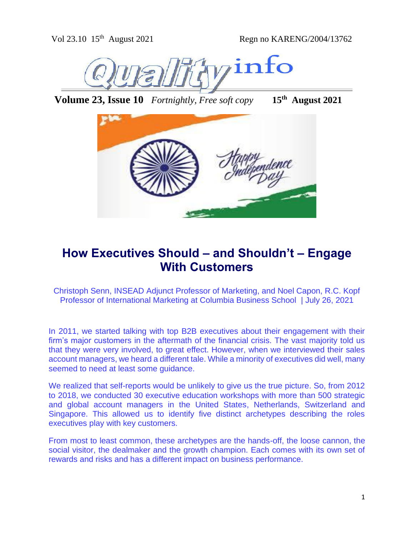

**Volume 23, Issue 10** *Fortnightly, Free soft copy* **15th August 2021**



# **How Executives Should – and Shouldn't – Engage With Customers**

[Christoph Senn,](https://knowledge.insead.edu/users/christophsenn) INSEAD Adjunct Professor of Marketing, and Noel Capon, R.C. Kopf Professor of International Marketing at Columbia Business School | July 26, 2021

In 2011, we started talking with top B2B executives about their engagement with their firm's major customers in the aftermath of the financial crisis. The vast majority told us that they were very involved, to great effect. However, when we interviewed their sales account managers, we heard a different tale. While a minority of executives did well, many seemed to need at least some guidance.

We realized that self-reports would be unlikely to give us the true picture. So, from 2012 to 2018, we conducted 30 executive education workshops with more than 500 strategic and global account managers in the United States, Netherlands, Switzerland and Singapore. This allowed us to identify five distinct archetypes describing the roles executives play with key customers.

From most to least common, these archetypes are the hands-off, the loose cannon, the social visitor, the dealmaker and the growth champion. Each comes with its own set of rewards and risks and has a different impact on business performance.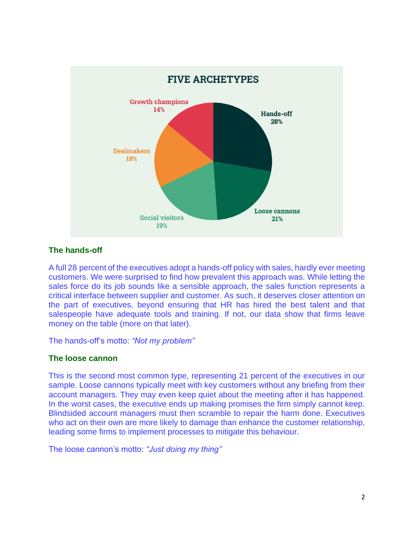

## **The hands-off**

A full 28 percent of the executives adopt a hands-off policy with sales, hardly ever meeting customers. We were surprised to find how prevalent this approach was. While letting the sales force do its job sounds like a sensible approach, the sales function represents a critical interface between supplier and customer. As such, it deserves closer attention on the part of executives, beyond ensuring that HR has hired the best talent and that salespeople have adequate tools and training. If not, our data show that firms leave money on the table (more on that later).

The hands-off's motto: *"Not my problem"*

### **The loose cannon**

This is the second most common type, representing 21 percent of the executives in our sample. Loose cannons typically meet with key customers without any briefing from their account managers. They may even keep quiet about the meeting after it has happened. In the worst cases, the executive ends up making promises the firm simply cannot keep. Blindsided account managers must then scramble to repair the harm done. Executives who act on their own are more likely to damage than enhance the customer relationship, leading some firms to implement processes to mitigate this behaviour.

The loose cannon's motto: *"Just doing my thing"*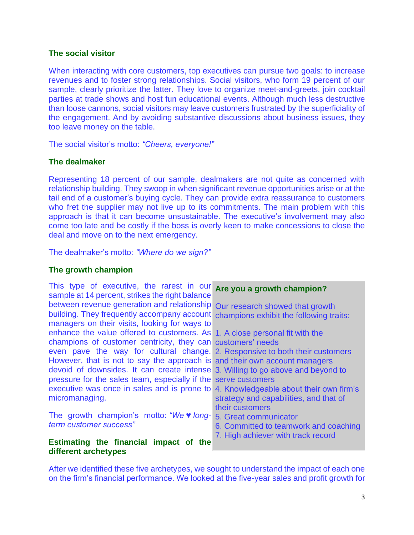### **The social visitor**

When interacting with core customers, top executives can pursue two goals: to increase revenues and to foster strong relationships. Social visitors, who form 19 percent of our sample, clearly prioritize the latter. They love to organize meet-and-greets, join cocktail parties at trade shows and host fun educational events. Although much less destructive than loose cannons, social visitors may leave customers frustrated by the superficiality of the engagement. And by avoiding substantive discussions about business issues, they too leave money on the table.

The social visitor's motto: *"Cheers, everyone!"*

#### **The dealmaker**

Representing 18 percent of our sample, dealmakers are not quite as concerned with relationship building. They swoop in when significant revenue opportunities arise or at the tail end of a customer's buying cycle. They can provide extra reassurance to customers who fret the supplier may not live up to its commitments. The main problem with this approach is that it can become unsustainable. The executive's involvement may also come too late and be costly if the boss is overly keen to make concessions to close the deal and move on to the next emergency.

The dealmaker's motto: *"Where do we sign?"*

#### **The growth champion**

| This type of executive, the rarest in our                                           | Are you a growth champion?             |
|-------------------------------------------------------------------------------------|----------------------------------------|
| sample at 14 percent, strikes the right balance                                     |                                        |
| between revenue generation and relationship Our research showed that growth         |                                        |
| building. They frequently accompany account champions exhibit the following traits: |                                        |
| managers on their visits, looking for ways to                                       |                                        |
| enhance the value offered to customers. As 1. A close personal fit with the         |                                        |
| champions of customer centricity, they can customers' needs                         |                                        |
| even pave the way for cultural change. 2. Responsive to both their customers        |                                        |
| However, that is not to say the approach is and their own account managers          |                                        |
| devoid of downsides. It can create intense 3. Willing to go above and beyond to     |                                        |
| pressure for the sales team, especially if the serve customers                      |                                        |
| executive was once in sales and is prone to 4. Knowledgeable about their own firm's |                                        |
| micromanaging.                                                                      | strategy and capabilities, and that of |
|                                                                                     | their customers                        |
| The growth champion's motto: "We v long-                                            | 5. Great communicator                  |
| term customer success"                                                              | 6. Committed to teamwork and coaching  |
|                                                                                     | 7. High achiever with track record     |
| Estimating the financial impact of the                                              |                                        |
| different archetypes                                                                |                                        |

After we identified these five archetypes, we sought to understand the impact of each one on the firm's financial performance. We looked at the five-year sales and profit growth for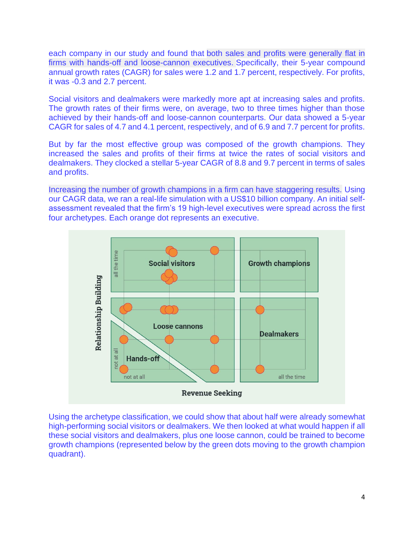each company in our study and found that both sales and profits were generally flat in firms with hands-off and loose-cannon executives. Specifically, their 5-year compound annual growth rates (CAGR) for sales were 1.2 and 1.7 percent, respectively. For profits, it was -0.3 and 2.7 percent.

Social visitors and dealmakers were markedly more apt at increasing sales and profits. The growth rates of their firms were, on average, two to three times higher than those achieved by their hands-off and loose-cannon counterparts. Our data showed a 5-year CAGR for sales of 4.7 and 4.1 percent, respectively, and of 6.9 and 7.7 percent for profits.

But by far the most effective group was composed of the growth champions. They increased the sales and profits of their firms at twice the rates of social visitors and dealmakers. They clocked a stellar 5-year CAGR of 8.8 and 9.7 percent in terms of sales and profits.

Increasing the number of growth champions in a firm can have staggering results. Using our CAGR data, we ran a real-life simulation with a US\$10 billion company. An initial selfassessment revealed that the firm's 19 high-level executives were spread across the first four archetypes. Each orange dot represents an executive.



Using the archetype classification, we could show that about half were already somewhat high-performing social visitors or dealmakers. We then looked at what would happen if all these social visitors and dealmakers, plus one loose cannon, could be trained to become growth champions (represented below by the green dots moving to the growth champion quadrant).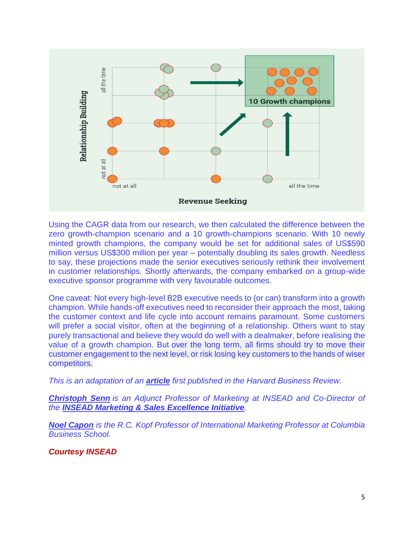

Using the CAGR data from our research, we then calculated the difference between the zero growth-champion scenario and a 10 growth-champions scenario. With 10 newly minted growth champions, the company would be set for additional sales of US\$590 million versus US\$300 million per year – potentially doubling its sales growth. Needless to say, these projections made the senior executives seriously rethink their involvement in customer relationships. Shortly afterwards, the company embarked on a group-wide executive sponsor programme with very favourable outcomes.

One caveat: Not every high-level B2B executive needs to (or can) transform into a growth champion. While hands-off executives need to reconsider their approach the most, taking the customer context and life cycle into account remains paramount. Some customers will prefer a social visitor, often at the beginning of a relationship. Others want to stay purely transactional and believe they would do well with a dealmaker, before realising the value of a growth champion. But over the long term, all firms should try to move their customer engagement to the next level, or risk losing key customers to the hands of wiser competitors.

*This is an adaptation of an [article](https://hbr.org/2021/03/when-ceos-make-sales-calls) first published in the Harvard Business Review.*

*[Christoph Senn](https://www.insead.edu/faculty-research/faculty/christoph-senn) is an Adjunct Professor of Marketing at INSEAD and Co-Director of the [INSEAD Marketing & Sales Excellence Initiative](https://www.insead.edu/centres/marketing-and-sales-excellence).*

*[Noel Capon](https://www8.gsb.columbia.edu/cbs-directory/detail/nc7) is the R.C. Kopf Professor of International Marketing Professor at Columbia Business School.*

*Courtesy INSEAD*